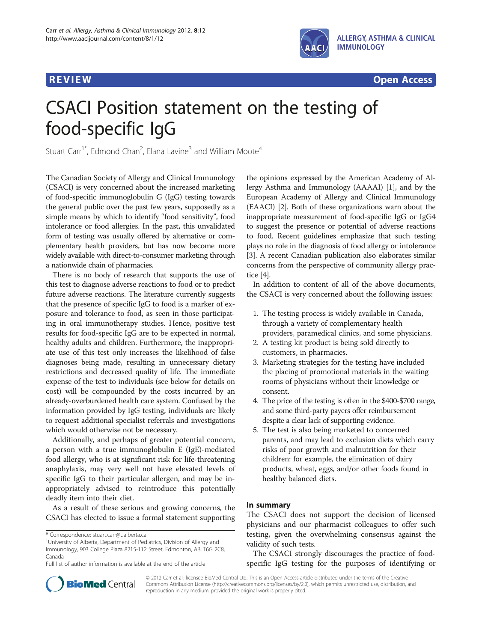

**REVIEW CONSTRUCTION CONSTRUCTION CONSTRUCTS** 

# CSACI Position statement on the testing of food-specific IgG

Stuart Carr<sup>1\*</sup>, Edmond Chan<sup>2</sup>, Elana Lavine<sup>3</sup> and William Moote<sup>4</sup>

The Canadian Society of Allergy and Clinical Immunology (CSACI) is very concerned about the increased marketing of food-specific immunoglobulin G (IgG) testing towards the general public over the past few years, supposedly as a simple means by which to identify "food sensitivity", food intolerance or food allergies. In the past, this unvalidated form of testing was usually offered by alternative or complementary health providers, but has now become more widely available with direct-to-consumer marketing through a nationwide chain of pharmacies.

There is no body of research that supports the use of this test to diagnose adverse reactions to food or to predict future adverse reactions. The literature currently suggests that the presence of specific IgG to food is a marker of exposure and tolerance to food, as seen in those participating in oral immunotherapy studies. Hence, positive test results for food-specific IgG are to be expected in normal, healthy adults and children. Furthermore, the inappropriate use of this test only increases the likelihood of false diagnoses being made, resulting in unnecessary dietary restrictions and decreased quality of life. The immediate expense of the test to individuals (see below for details on cost) will be compounded by the costs incurred by an already-overburdened health care system. Confused by the information provided by IgG testing, individuals are likely to request additional specialist referrals and investigations which would otherwise not be necessary.

Additionally, and perhaps of greater potential concern, a person with a true immunoglobulin E (IgE)-mediated food allergy, who is at significant risk for life-threatening anaphylaxis, may very well not have elevated levels of specific IgG to their particular allergen, and may be inappropriately advised to reintroduce this potentially deadly item into their diet.

As a result of these serious and growing concerns, the CSACI has elected to issue a formal statement supporting

the opinions expressed by the American Academy of Allergy Asthma and Immunology (AAAAI) [\[1](#page-1-0)], and by the European Academy of Allergy and Clinical Immunology (EAACI) [[2](#page-1-0)]. Both of these organizations warn about the inappropriate measurement of food-specific IgG or IgG4 to suggest the presence or potential of adverse reactions to food. Recent guidelines emphasize that such testing plays no role in the diagnosis of food allergy or intolerance [[3\]](#page-1-0). A recent Canadian publication also elaborates similar concerns from the perspective of community allergy practice [[4](#page-1-0)].

In addition to content of all of the above documents, the CSACI is very concerned about the following issues:

- 1. The testing process is widely available in Canada, through a variety of complementary health providers, paramedical clinics, and some physicians.
- 2. A testing kit product is being sold directly to customers, in pharmacies.
- 3. Marketing strategies for the testing have included the placing of promotional materials in the waiting rooms of physicians without their knowledge or consent.
- 4. The price of the testing is often in the \$400-\$700 range, and some third-party payers offer reimbursement despite a clear lack of supporting evidence.
- 5. The test is also being marketed to concerned parents, and may lead to exclusion diets which carry risks of poor growth and malnutrition for their children: for example, the elimination of dairy products, wheat, eggs, and/or other foods found in healthy balanced diets.

# In summary

The CSACI does not support the decision of licensed physicians and our pharmacist colleagues to offer such testing, given the overwhelming consensus against the validity of such tests.

The CSACI strongly discourages the practice of foodspecific IgG testing for the purposes of identifying or



© 2012 Carr et al.; licensee BioMed Central Ltd. This is an Open Access article distributed under the terms of the Creative Commons Attribution License [\(http://creativecommons.org/licenses/by/2.0\)](http://creativecommons.org/licenses/by/2.0), which permits unrestricted use, distribution, and reproduction in any medium, provided the original work is properly cited.

<sup>\*</sup> Correspondence: [stuart.carr@ualberta.ca](mailto:stuart.carr@ualberta.ca) <sup>1</sup>

University of Alberta, Department of Pediatrics, Division of Allergy and Immunology, 903 College Plaza 8215-112 Street, Edmonton, AB, T6G 2C8, Canada

Full list of author information is available at the end of the article